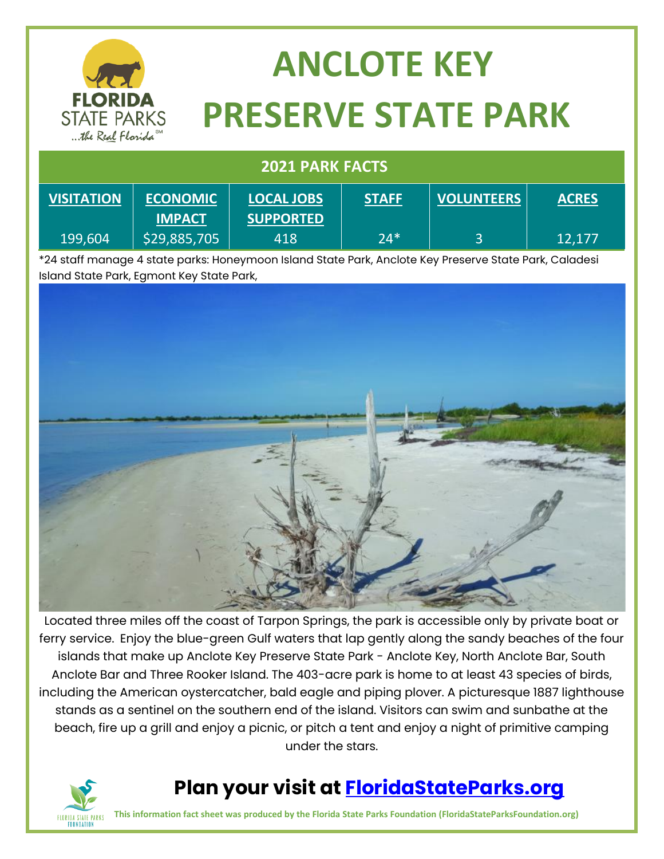

# **ANCLOTE KEY PRESERVE STATE PARK**

#### **2021 PARK FACTS**

| <b>VISITATION</b> | <b>ECONOMIC</b> | <b>LOCAL JOBS</b> | <b>STAFF</b> | <b>VOLUNTEERS</b> | <b>ACRES</b> |
|-------------------|-----------------|-------------------|--------------|-------------------|--------------|
|                   | <b>IMPACT</b>   | <b>SUPPORTED</b>  |              |                   |              |
| 199,604           | \$29,885,705    | 418               | $24*$        |                   | 12,177       |

\*24 staff manage 4 state parks: Honeymoon Island State Park, Anclote Key Preserve State Park, Caladesi Island State Park, Egmont Key State Park,



Located three miles off the coast of Tarpon Springs, the park is accessible only by private boat or ferry service. Enjoy the blue-green Gulf waters that lap gently along the sandy beaches of the four islands that make up Anclote Key Preserve State Park - Anclote Key, North Anclote Bar, South Anclote Bar and Three Rooker Island. The 403-acre park is home to at least 43 species of birds, including the American oystercatcher, bald eagle and piping plover. A picturesque 1887 lighthouse stands as a sentinel on the southern end of the island. Visitors can swim and sunbathe at the beach, fire up a grill and enjoy a picnic, or pitch a tent and enjoy a night of primitive camping under the stars.



#### **Plan your visit at [FloridaStateParks.org](http://www.floridastateparks.org/)**

**This information fact sheet was produced by the Florida State Parks Foundation (FloridaStateParksFoundation.org)**